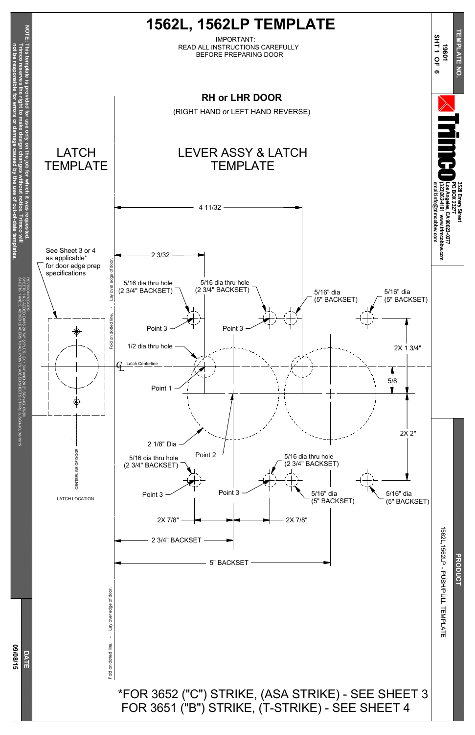

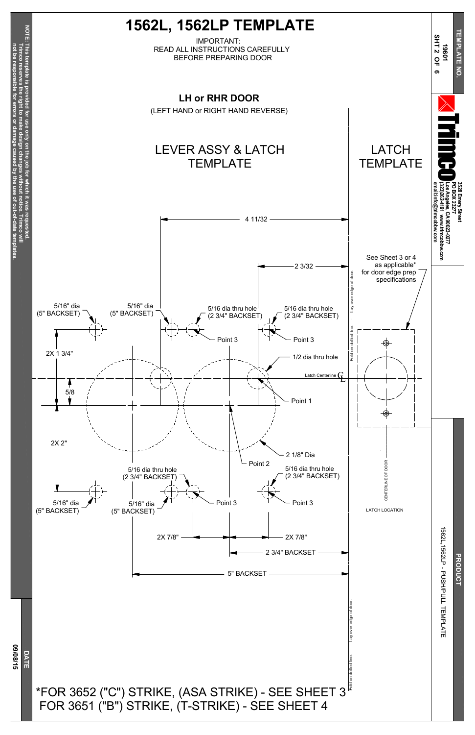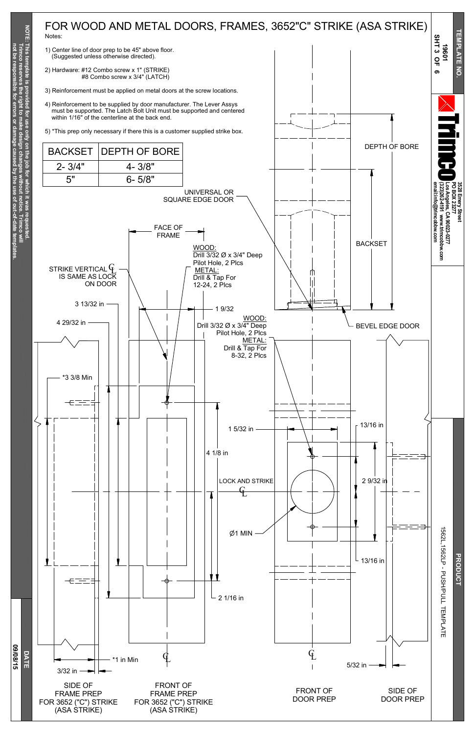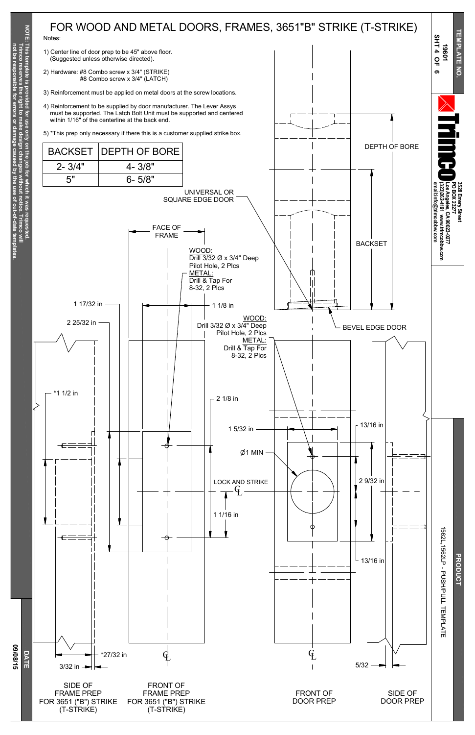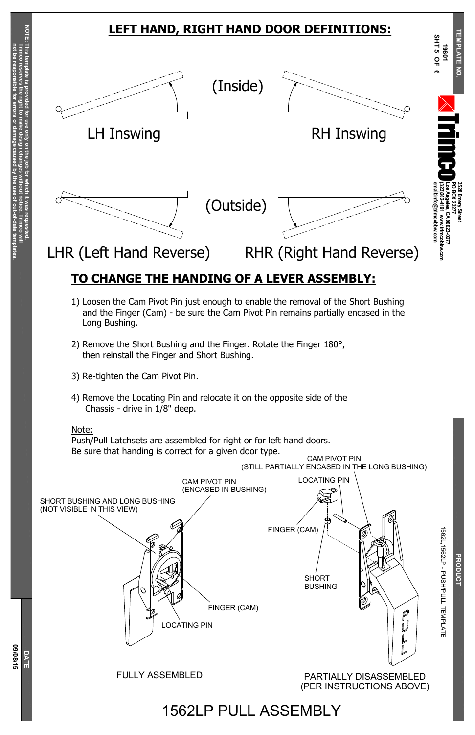**Trim c o** §<br>≡

**N O T E: This tem plate is pro vided**

**for use only on the jo b for**

> **which it was**

**requested.**

**Trim c o**

**reserves**

**the right to make**

**design**

**changes**

**without**

**notice.**

**not be resp**

**onsible**

**for**

**errors**

**or**

**damage**

**caused**

**b y the use of**

**out-of-date**

**tem**

**plates.**



## **3528 Emery Street PO B OX 23277 Los Angeles, CA 90023-0277 (323)262-4191 www.trimcobbw.com email:info@trimcobbw.com** r i  $\overline{\mathbf{z}}$ o **T E M P L A T E N O. 19 6 01 The Co S H T 5 O F 6** 15 6 2 CAM PIVOT PIN (ENCASED IN BUSHING) SHORT BUSHING AND LONG BUSHING (NOT VISIBLE IN THIS VIEW) FINGER (CAM) LOCATING PIN CAM PIVOT PIN (STILL PARTIALLY ENCASED IN THE LONG BUSHING) **LEFT HAND, RIGHT HAND DOOR DEFINITIONS:** (Inside) (Outside) LH Inswing **EXAMPLE RH Inswing** LHR (Left Hand Reverse) RHR (Right Hand Reverse) **TO CHANGE THE HANDING OF A LEVER ASSEMBLY:** 1) Loosen the Cam Pivot Pin just enough to enable the removal of the Short Bushing and the Finger (Cam) - be sure the Cam Pivot Pin remains partially encased in the Long Bushing. 2) Remove the Short Bushing and the Finger. Rotate the Finger 180°, then reinstall the Finger and Short Bushing. 3) Re-tighten the Cam Pivot Pin. 4) Remove the Locating Pin and relocate it on the opposite side of the Chassis - drive in 1/8" deep. Note: Push/Pull Latchsets are assembled for right or for left hand doors. Be sure that handing is correct for a given door type.